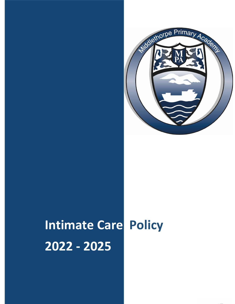

# **Intimate Care Policy 2022 - 2025**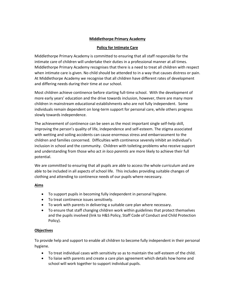# **Middlethorpe Primary Academy**

# **Policy for Intimate Care**

Middlethorpe Primary Academy is committed to ensuring that all staff responsible for the intimate care of children will undertake their duties in a professional manner at all times. Middlethorpe Primary Academy recognises that there is a need to treat all children with respect when intimate care is given. No child should be attended to in a way that causes distress or pain. At Middlethorpe Academy we recognise that all children have different rates of development and differing needs during their time at our school.

Most children achieve continence before starting full-time school. With the development of more early years' education and the drive towards inclusion, however, there are many more children in mainstream educational establishments who are not fully independent. Some individuals remain dependent on long-term support for personal care, while others progress slowly towards independence.

The achievement of continence can be seen as the most important single self-help skill, improving the person's quality of life, independence and self-esteem. The stigma associated with wetting and soiling accidents can cause enormous stress and embarrassment to the children and families concerned. Difficulties with continence severely inhibit an individual's inclusion in school and the community. Children with toileting problems who receive support and understanding from those who act *in loco parentis* are more likely to achieve their full potential.

We are committed to ensuring that all pupils are able to access the whole curriculum and are able to be included in all aspects of school life. This includes providing suitable changes of clothing and attending to continence needs of our pupils where necessary.

## **Aims**

- To support pupils in becoming fully independent in personal hygiene.
- To treat continence issues sensitively.
- To work with parents in delivering a suitable care plan where necessary.
- To ensure that staff changing children work within guidelines that protect themselves and the pupils involved (link to H&S Policy, Staff Code of Conduct and Child Protection Policy).

# **Objectives**

To provide help and support to enable all children to become fully independent in their personal hygiene.

- To treat individual cases with sensitivity so as to maintain the self-esteem of the child.
- To liaise with parents and create a care plan agreement which details how home and school will work together to support individual pupils.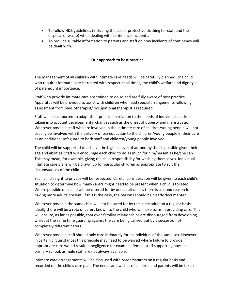- To follow H&S guidelines (including the use of protective clothing for staff and the disposal of waste) when dealing with continence incidents.
- To provide suitable information to parents and staff on how incidents of continence will be dealt with.

# **Our approach to best practice**

The management of all children with intimate care needs will be carefully planned. The child who requires intimate care is treated with respect at all times; the child's welfare and dignity is of paramount importance.

Staff who provide intimate care are trained to do so and are fully aware of best practice. Apparatus will be provided to assist with children who need special arrangements following assessment from physiotherapist/ occupational therapist as required.

Staff will be supported to adapt their practice in relation to the needs of individual children taking into account developmental changes such as the onset of puberty and menstruation. Wherever possible staff who are involved in the intimate care of children/young people will not usually be involved with the delivery of sex education to the children/young people in their care as an additional safeguard to both staff and children/young people involved.

The child will be supported to achieve the highest level of autonomy that is possible given their age and abilities. Staff will encourage each child to do as much for him/herself as he/she can. This may mean, for example, giving the child responsibility for washing themselves. Individual intimate care plans will be drawn up for particular children as appropriate to suit the circumstances of the child.

Each child's right to privacy will be respected. Careful consideration will be given to each child's situation to determine how many carers might need to be present when a child is toileted. Where possible one child will be catered for by one adult unless there is a sound reason for having more adults present. If this is the case, the reasons should be clearly documented.

Wherever possible the same child will not be cared for by the same adult on a regular basis; ideally there will be a rota of carers known to the child who will take turns in providing care. This will ensure, as far as possible, that over-familiar relationships are discouraged from developing, whilst at the same time guarding against the care being carried out by a succession of completely different carers.

Wherever possible staff should only care intimately for an individual of the same sex. However, in certain circumstances this principle may need to be waived where failure to provide appropriate care would result in negligence for example, female staff supporting boys in a primary school, as male staff are not always available.

Intimate care arrangements will be discussed with parents/carers on a regular basis and recorded on the child's care plan. The needs and wishes of children and parents will be taken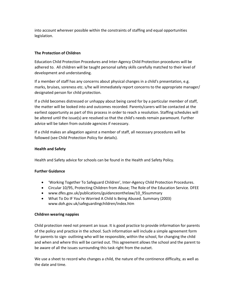into account wherever possible within the constraints of staffing and equal opportunities legislation.

# **The Protection of Children**

Education Child Protection Procedures and Inter-Agency Child Protection procedures will be adhered to. All children will be taught personal safety skills carefully matched to their level of development and understanding.

If a member of staff has any concerns about physical changes in a child's presentation, e.g. marks, bruises, soreness etc. s/he will immediately report concerns to the appropriate manager/ designated person for child protection.

If a child becomes distressed or unhappy about being cared for by a particular member of staff, the matter will be looked into and outcomes recorded. Parents/carers will be contacted at the earliest opportunity as part of this process in order to reach a resolution. Staffing schedules will be altered until the issue(s) are resolved so that the child's needs remain paramount. Further advice will be taken from outside agencies if necessary.

If a child makes an allegation against a member of staff, all necessary procedures will be followed (see Child Protection Policy for details).

## **Health and Safety**

Health and Safety advice for schools can be found in the Health and Safety Policy.

## **Further Guidance**

- 'Working Together To Safeguard Children', Inter-Agency Child Protection Procedures.
- Circular 10/95, Protecting Children from Abuse; The Role of the Education Service. DFEE
- www.dfes.gov.uk/publications/guidanceonthelaw/10\_95summary
- What To Do IF You're Worried A Child Is Being Abused. Summary (2003) www.doh.gov.uk/safeguardingchildren/index.htm

## **Children wearing nappies**

Child protection need not present an issue. It is good practice to provide information for parents of the policy and practice in the school. Such information will include a simple agreement form for parents to sign- outlining who will be responsible, within the school, for changing the child and when and where this will be carried out. This agreement allows the school and the parent to be aware of all the issues surrounding this task right from the outset.

We use a sheet to record who changes a child, the nature of the continence difficulty, as well as the date and time.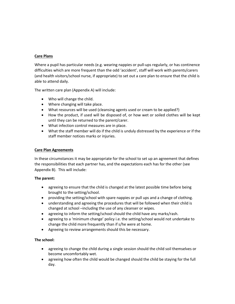# **Care Plans**

Where a pupil has particular needs (e.g. wearing nappies or pull-ups regularly, or has continence difficulties which are more frequent than the odd 'accident', staff will work with parents/carers (and health visitors/school nurse, if appropriate) to set out a care plan to ensure that the child is able to attend daily.

The written care plan (Appendix A) will include:

- Who will change the child.
- Where changing will take place.
- What resources will be used (cleansing agents used or cream to be applied?)
- How the product, if used will be disposed of, or how wet or soiled clothes will be kept until they can be returned to the parent/carer.
- What infection control measures are in place.
- What the staff member will do if the child is unduly distressed by the experience or if the staff member notices marks or injuries.

# **Care Plan Agreements**

In these circumstances it may be appropriate for the school to set up an agreement that defines the responsibilities that each partner has, and the expectations each has for the other (see Appendix B). This will include:

## **The parent:**

- agreeing to ensure that the child is changed at the latest possible time before being brought to the setting/school.
- providing the setting/school with spare nappies or pull ups and a change of clothing.
- understanding and agreeing the procedures that will be followed when their child is changed at school –including the use of any cleanser or wipes.
- agreeing to inform the setting/school should the child have any marks/rash.
- agreeing to a 'minimum change' policy i.e. the setting/school would not undertake to change the child more frequently than if s/he were at home.
- Agreeing to review arrangements should this be necessary.

# **The school:**

- agreeing to change the child during a single session should the child soil themselves or become uncomfortably wet.
- agreeing how often the child would be changed should the child be staying for the full day.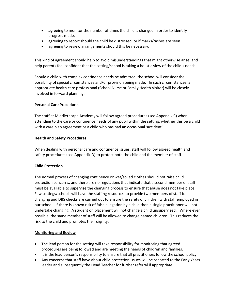- agreeing to monitor the number of times the child is changed in order to identify progress made.
- agreeing to report should the child be distressed, or if marks/rashes are seen
- agreeing to review arrangements should this be necessary.

This kind of agreement should help to avoid misunderstandings that might otherwise arise, and help parents feel confident that the setting/school is taking a holistic view of the child's needs.

Should a child with complex continence needs be admitted, the school will consider the possibility of special circumstances and/or provision being made. In such circumstances, an appropriate health care professional (School Nurse or Family Health Visitor) will be closely involved in forward planning.

# **Personal Care Procedures**

The staff at Middlethorpe Academy will follow agreed procedures (see Appendix C) when attending to the care or continence needs of any pupil within the setting, whether this be a child with a care plan agreement or a child who has had an occasional 'accident'.

# **Health and Safety Procedures**

When dealing with personal care and continence issues, staff will follow agreed health and safety procedures (see Appendix D) to protect both the child and the member of staff.

# **Child Protection**

The normal process of changing continence or wet/soiled clothes should not raise child protection concerns, and there are no regulations that indicate that a second member of staff must be available to supervise the changing process to ensure that abuse does not take place. Few settings/schools will have the staffing resources to provide two members of staff for changing and DBS checks are carried out to ensure the safety of children with staff employed in our school. If there is known risk of false allegation by a child then a single practitioner will not undertake changing. A student on placement will not change a child unsupervised. Where ever possible, the same member of staff will be allowed to change named children. This reduces the risk to the child and promotes their dignity.

## **Monitoring and Review**

- The lead person for the setting will take responsibility for monitoring that agreed procedures are being followed and are meeting the needs of children and families.
- It is the lead person's responsibility to ensure that all practitioners follow the school policy.
- Any concerns that staff have about child protection issues will be reported to the Early Years leader and subsequently the Head Teacher for further referral if appropriate.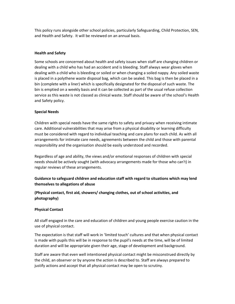This policy runs alongside other school policies, particularly Safeguarding, Child Protection, SEN, and Health and Safety. It will be reviewed on an annual basis.

# **Health and Safety**

Some schools are concerned about health and safety issues when staff are changing children or dealing with a child who has had an accident and is bleeding. Staff always wear gloves when dealing with a child who is bleeding or soiled or when changing a soiled nappy. Any soiled waste is placed in a polythene waste disposal bag, which can be sealed. This bag is then be placed in a bin (complete with a liner) which is specifically designated for the disposal of such waste. The bin is emptied on a weekly basis and it can be collected as part of the usual refuse collection service as this waste is not classed as clinical waste. Staff should be aware of the school's Health and Safety policy.

## **Special Needs**

Children with special needs have the same rights to safety and privacy when receiving intimate care. Additional vulnerabilities that may arise from a physical disability or learning difficulty must be considered with regard to individual teaching and care plans for each child. As with all arrangements for intimate care needs, agreements between the child and those with parental responsibility and the organisation should be easily understood and recorded.

Regardless of age and ability, the views and/or emotional responses of children with special needs should be actively sought (with advocacy arrangements made for those who can't) in regular reviews of these arrangements.

# **Guidance to safeguard children and education staff with regard to situations which may lend themselves to allegations of abuse**

**(Physical contact, first aid, showers/ changing clothes, out of school activities, and photography)** 

## **Physical Contact**

All staff engaged in the care and education of children and young people exercise caution in the use of physical contact.

The expectation is that staff will work in 'limited touch' cultures and that when physical contact is made with pupils this will be in response to the pupil's needs at the time, will be of limited duration and will be appropriate given their age, stage of development and background.

Staff are aware that even well intentioned physical contact might be misconstrued directly by the child, an observer or by anyone the action is described to. Staff are always prepared to justify actions and accept that all physical contact may be open to scrutiny.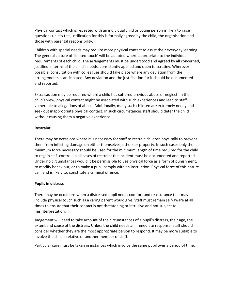Physical contact which is repeated with an individual child or young person is likely to raise questions unless the justification for this is formally agreed by the child, the organisation and those with parental responsibility.

Children with special needs may require more physical contact to assist their everyday learning. The general culture of 'limited touch' will be adapted where appropriate to the individual requirements of each child. The arrangements must be understood and agreed by all concerned, justified in terms of the child's needs, consistently applied and open to scrutiny. Wherever possible, consultation with colleagues should take place where any deviation from the arrangements is anticipated. Any deviation and the justification for it should be documented and reported.

Extra caution may be required where a child has suffered previous abuse or neglect. In the child's view, physical contact might be associated with such experiences and lead to staff vulnerable to allegations of abuse. Additionally, many such children are extremely needy and seek out inappropriate physical contact. In such circumstances staff should deter the child without causing them a negative experience.

# **Restraint**

There may be occasions where it is necessary for staff to restrain children physically to prevent them from inflicting damage on either themselves, others or property. In such cases only the minimum force necessary should be used for the minimum length of time required for the child to regain self- control. In all cases of restraint the incident must be documented and reported. Under no circumstances would it be permissible to use physical force as a form of punishment, to modify behaviour, or to make a pupil comply with an instruction. Physical force of this nature can, and is likely to, constitute a criminal offence.

# **Pupils in distress**

There may be occasions when a distressed pupil needs comfort and reassurance that may include physical touch such as a caring parent would give. Staff must remain self-aware at all times to ensure that their contact is not threatening or intrusive and not subject to misinterpretation.

Judgement will need to take account of the circumstances of a pupil's distress, their age, the extent and cause of the distress. Unless the child needs an immediate response, staff should consider whether they are the most appropriate person to respond. It may be more suitable to involve the child's relative or another member of staff.

Particular care must be taken in instances which involve the same pupil over a period of time.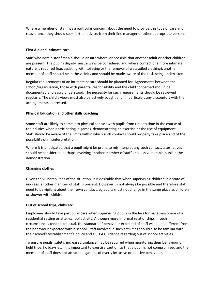Where a member of staff has a particular concern about the need to provide this type of care and reassurance they should seek further advice, from their line manager or other appropriate person.

# **First Aid and intimate care**

Staff who administer first aid should ensure wherever possible that another adult or other children are present. The pupil's dignity must always be considered and where contact of a more intimate nature is required (e.g. assisting with toileting or the removal of wet/soiled clothing), another member of staff should be in the vicinity and should be made aware of the task being undertaken.

Regular requirements of an intimate nature should be planned for. Agreements between the school/organisation, those with parental responsibility and the child concerned should be documented and easily understood. The necessity for such requirements should be reviewed regularly. The child's views must also be actively sought and, in particular, any discomfort with the arrangements addressed.

# **Physical Education and other skills coaching**

Some staff are likely to come into physical contact with pupils from time to time in the course of their duties when participating in games, demonstrating an exercise or the use of equipment. Staff should be aware of the limits within which such contact should properly take place and of the possibility of misinterpretation.

Where it is anticipated that a pupil might be prone to misinterpret any such contact, alternatives should be considered, perhaps involving another member of staff or a less vulnerable pupil in the demonstration.

## **Changing clothes**

Given the vulnerabilities of the situation, it is desirable that when supervising children in a state of undress, another member of staff is present. However, is not always be possible and therefore staff need to be vigilant about their own conduct, eg adults must not change in the same place as children or shower with children.

## **Out of school trips, clubs etc.**

Employees should take particular care when supervising pupils in the less formal atmosphere of a residential setting or after-school activity. Although more informal relationships in such circumstances tend to be usual, the standard of behaviour expected of staff will be no different from the behaviour expected within school. Staff involved in such activities should also be familiar with their school's/establishment's policy and all LEA Guidance regarding out of school activities.

To ensure pupils' safety, increased vigilance may be required when monitoring their behaviour on field trips, holidays etc. It is important to exercise caution so that a pupil is not compromised and the member of staff does not attract allegations of overly intrusive or abusive behaviour.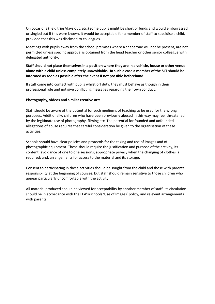On occasions (field trips/days out, etc.) some pupils might be short of funds and would embarrassed or singled out if this were known. It would be acceptable for a member of staff to subsidise a child, provided that this was disclosed to colleagues.

Meetings with pupils away from the school premises where a chaperone will not be present, are not permitted unless specific approval is obtained from the head teacher or other senior colleague with delegated authority.

# **Staff should not place themselves in a position where they are in a vehicle, house or other venue alone with a child unless completely unavoidable. In such a case a member of the SLT should be informed as soon as possible after the event if not possible beforehand.**

If staff come into contact with pupils whilst off duty, they must behave as though in their professional role and not give conflicting messages regarding their own conduct.

# **Photography, videos and similar creative arts**

Staff should be aware of the potential for such mediums of teaching to be used for the wrong purposes. Additionally, children who have been previously abused in this way may feel threatened by the legitimate use of photography, filming etc. The potential for founded and unfounded allegations of abuse requires that careful consideration be given to the organisation of these activities.

Schools should have clear policies and protocols for the taking and use of images and of photographic equipment. These should require the justification and purpose of the activity; its content; avoidance of one to one sessions; appropriate privacy when the changing of clothes is required; and, arrangements for access to the material and its storage.

Consent to participating in these activities should be sought from the child and those with parental responsibility at the beginning of courses, but staff should remain sensitive to those children who appear particularly uncomfortable with the activity.

All material produced should be viewed for acceptability by another member of staff. Its circulation should be in accordance with the LEA's/schools 'Use of Images' policy, and relevant arrangements with parents.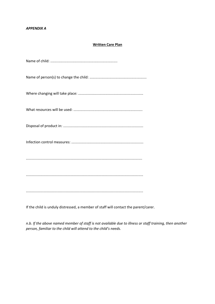#### *APPENDIX A*

# **Written Care Plan**

If the child is unduly distressed, a member of staff will contact the parent/carer.

*n.b. If the above named member of staff is not available due to illness or staff training, then another person, familiar to the child will attend to the child's needs.*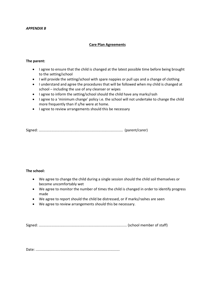#### *APPENDIX B*

#### **Care Plan Agreements**

#### **The parent:**

- I agree to ensure that the child is changed at the latest possible time before being brought to the setting/school
- I will provide the setting/school with spare nappies or pull ups and a change of clothing
- I understand and agree the procedures that will be followed when my child is changed at school – including the use of any cleanser or wipes
- I agree to inform the setting/school should the child have any marks/rash
- I agree to a 'minimum change' policy i.e. the school will not undertake to change the child more frequently than if s/he were at home.
- I agree to review arrangements should this be necessary

Signed: .................................................................................... (parent/carer)

#### **The school:**

- We agree to change the child during a single session should the child soil themselves or become uncomfortably wet
- We agree to monitor the number of times the child is changed in order to identify progress made
- We agree to report should the child be distressed, or if marks/rashes are seen
- We agree to review arrangements should this be necessary.

Signed: ........................................................................................ (school member of staff)

Date: ....................................................................................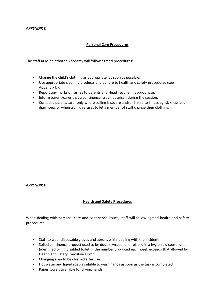#### *APPENDIX C*

# **Personal Care Procedures**

The staff at Middlethorpe Academy will follow agreed procedures:

- Change the child's clothing as appropriate, as soon as possible.
- Use appropriate cleaning products and adhere to health and safety procedures (see Appendix D).
- Report any marks or rashes to parents and Head Teacher if appropriate.
- Inform parent/carer that a continence issue has arisen during the session.
- Contact a parent/carer only where soiling is severe and/or linked to illness eg. sickness and diarrhoea, or when a child refuses to let a member of staff change their clothing.

#### *APPENDIX D*

## **Health and Safety Procedures**

When dealing with personal care and continence issues, staff will follow agreed health and safety procedures:

- Staff to wear disposable gloves and aprons while dealing with the incident
- Soiled continence product used to be double wrapped, or placed in a hygienic disposal unit (identified bin in disabled toilet) if the number produced each week exceeds that allowed by Health and Safety Executive's limit.
- Changing area to be cleaned after use
- Hot water and liquid soap available to wash hands as soon as the task is completed
- Paper towels available for drying hands.